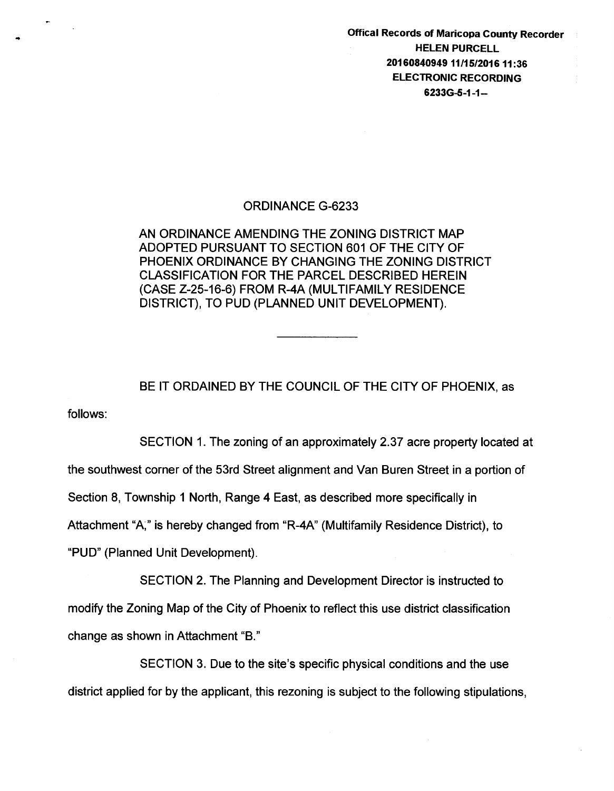Offical Records of Maricopa County Recorder HELEN PURCELL 20160840949 11/15/2016 11 :36 ELECTRONIC RECORDING 6233G-S-1-1-

## ORDINANCE G-6233

...

AN ORDINANCE AMENDING THE ZONING DISTRICT MAP ADOPTED PURSUANT TO SECTION 601 OF THE CITY OF PHOENIX ORDINANCE BY CHANGING THE ZONING DISTRICT CLASSIFICATION FOR THE PARCEL DESCRIBED HEREIN (CASE Z-25-16-6) FROM R-4A (MULTIFAMILY RESIDENCE DISTRICT), TO PUD (PLANNED UNIT DEVELOPMENT).

follows: BE IT ORDAINED BY THE COUNCIL OF THE CITY OF PHOENIX, as

SECTION 1. The zoning of an approximately 2.37 acre property located at the southwest corner of the 53rd Street alignment and Van Buren Street in a portion of Section 8, Township 1 North, Range 4 East, as described more specifically in Attachment "A;" is hereby changed from "R-4A" (Multifamily Residence District), to "PUD" (Planned Unit Development).

SECTION 2. The Planning and Development Director is instructed to modify the Zoning Map of the City of Phoenix to reflect this use district classification change as shown in Attachment "B."

SECTION 3. Due to the site's specific physical conditions and the use district applied for by the applicant, this rezoning is subject to the following stipulations,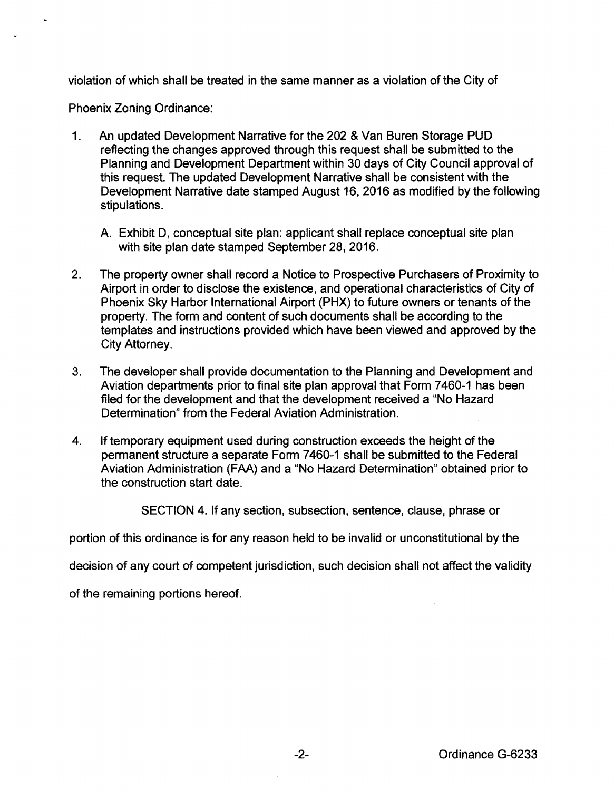violation of which shall be treated in the same manner as a violation of the City of

Phoenix Zoning Ordinance:

- 1. An updated Development Narrative for the 202 & Van Buren Storage PUD reflecting the changes approved through this request shall be submitted to the Planning and Development Department within 30 days of City Council approval of this request. The updated Development Narrative shall be consistent with the Development Narrative date stamped August 16, 2016 as modified by the following stipulations.
	- A. Exhibit D, conceptual site plan: applicant shall replace conceptual site plan with site plan date stamped September 28, 2016.
- 2. The property owner shall record a Notice to Prospective Purchasers of Proximity to Airport in order to disclose the existence, and operational characteristics of City of Phoenix Sky Harbor International Airport (PHX) to future owners or tenants of the property. The form and content of such documents shall be according to the templates and instructions provided which have been viewed and approved by the City Attorney.
- 3. The developer shall provide documentation to the Planning and Development and Aviation departments prior to final site plan approval that Form 7460-1 has been filed for the development and that the development received a "No Hazard Determination" from the Federal Aviation Administration.
- 4. If temporary equipment used during construction exceeds the height of the permanent structure a separate Form 7 460-1 shall be submitted to the Federal Aviation Administration (FAA) and a "No Hazard Determination" obtained prior to the construction start date.

SECTION 4. If any section, subsection, sentence, clause, phrase or

portion of this ordinance is for any reason held to be invalid or unconstitutional by the

decision of any court of competent jurisdiction, such decision shall not affect the validity

of the remaining portions hereof.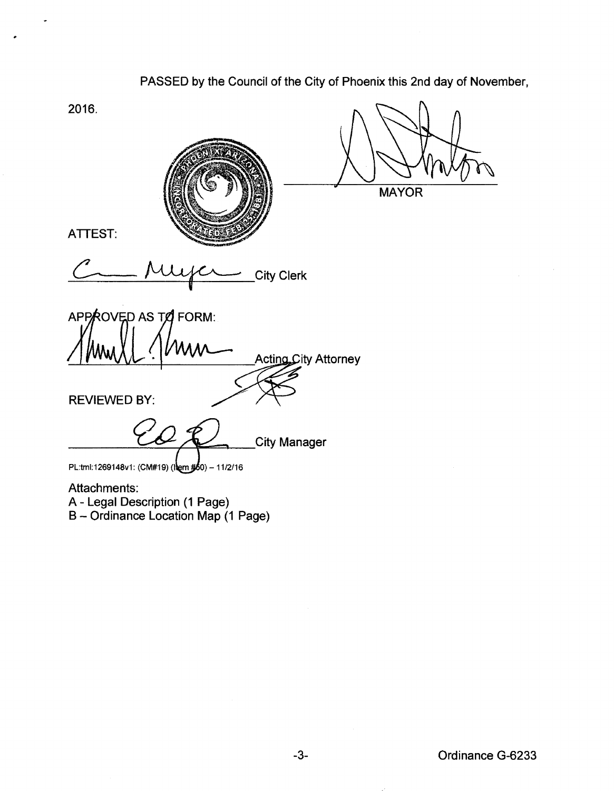2016. **MAYOR** TTEST:<br>C\_\_\_\_\_\_\_\_\_\_\_\_\_\_\_\_\_\_\_\_\_\_\_\_City Clerk ATTEST: APPROVED AS TO FORM: **Acting City Attorney** REVIEWED BY: **City Manager** PL:tml:1269148v1: (CM#19) (lem #60) - 11/2/16 Attachments: A- Legal Description (1 Page)

PASSED by the Council of the City of Phoenix this 2nd day of November,

B- Ordinance Location Map (1 Page)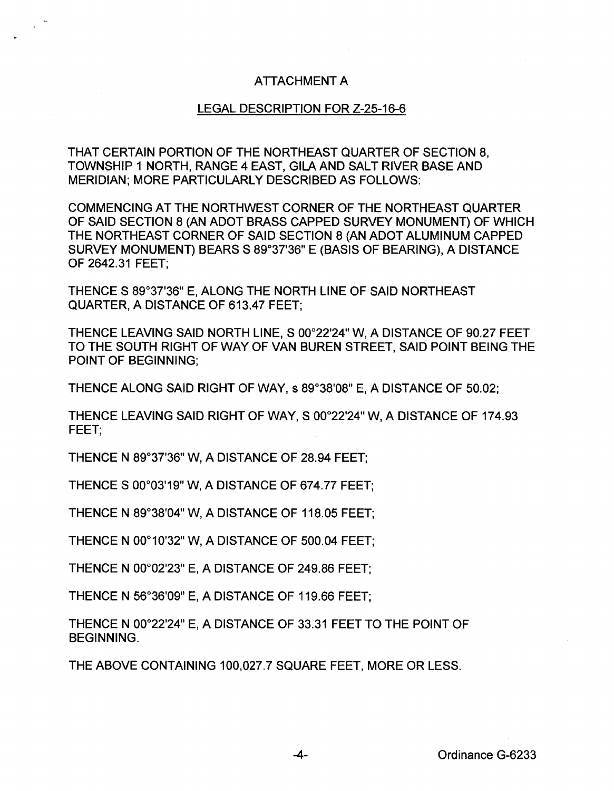## ATTACHMENT A

## LEGAL DESCRIPTION FOR Z-25-16-6

THAT CERTAIN PORTION OF THE NORTHEAST QUARTER OF SECTION 8, TOWNSHIP 1 NORTH, RANGE 4 EAST, GILA AND SALT RIVER BASE AND MERIDIAN; MORE PARTICULARLY DESCRIBED AS FOLLOWS:

COMMENCING AT THE NORTHWEST CORNER OF THE NORTHEAST QUARTER OF SAID SECTION 8 (AN ADOT BRASS CAPPED SURVEY MONUMENT) OF WHICH THE NORTHEAST CORNER OF SAID SECTION 8 (AN ADOT ALUMINUM CAPPED SURVEY MONUMENT) BEARSS 89°37'36" E (BASIS OF BEARING), A DISTANCE OF 2642.31 FEET;

THENCE S 89°37'36" E, ALONG THE NORTH LINE OF SAID NORTHEAST QUARTER, A DISTANCE OF 613.47 FEET;

THENCE LEAVING SAID NORTH LINE, S 00°22'24" W, A DISTANCE OF 90.27 FEET TO THE SOUTH RIGHT OF WAY OF VAN BUREN STREET, SAID POINT BEING THE POINT OF BEGINNING;

THENCE ALONG SAID RIGHT OF WAY, s 89°38'08" E, A DISTANCE OF 50.02;

THENCE LEAVING SAID RIGHT OF WAY, S 00°22'24"W,A DISTANCE OF 174.93 FEET;

THENCE N 89°37'36" W, A DISTANCE OF 28.94 FEET;

THENCE S 00°03'19" W, A DISTANCE OF 674.77 FEET;

THENCE N 89°38'04" W, A DISTANCE OF 118.05 FEET;

THENCE N 00°10'32" W, A DISTANCE OF 500.04 FEET;

THENCE N 00°02'23" E, A DISTANCE OF 249.86 FEET;

THENCE N 56°36'09" E, A DISTANCE OF 119.66 FEET;

THENCE N 00°22'24" E, A DISTANCE OF 33.31 FEET TO THE POINT OF BEGINNING.

THE ABOVE CONTAINING 100,027.7 SQUARE FEET, MORE OR LESS.